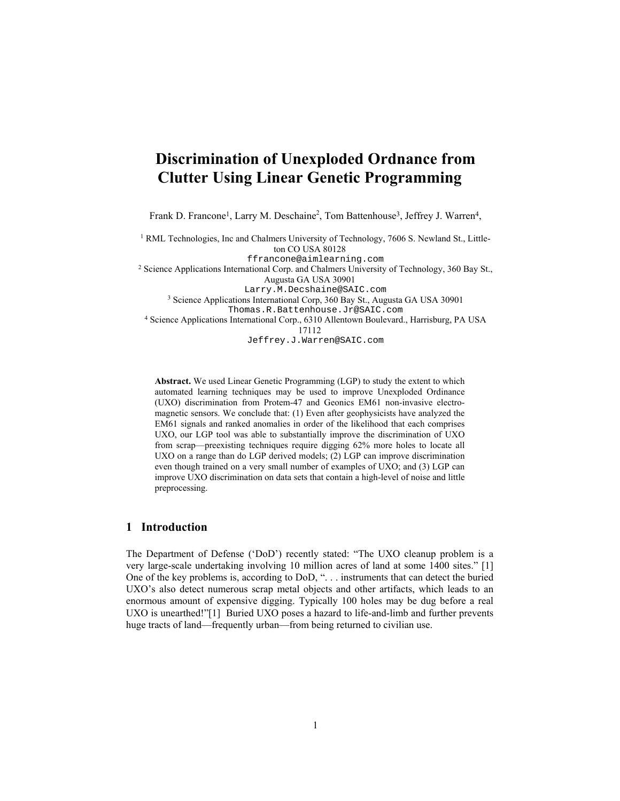# **Discrimination of Unexploded Ordnance from Clutter Using Linear Genetic Programming**

Frank D. Francone<sup>1</sup>, Larry M. Deschaine<sup>2</sup>, Tom Battenhouse<sup>3</sup>, Jeffrey J. Warren<sup>4</sup>,

<sup>1</sup> RML Technologies, Inc and Chalmers University of Technology, 7606 S. Newland St., Littleton CO USA 80128 ffrancone@aimlearning.com 2 Science Applications International Corp. and Chalmers University of Technology, 360 Bay St., Augusta GA USA 30901 Larry.M.Decshaine@SAIC.com 3 Science Applications International Corp, 360 Bay St., Augusta GA USA 30901 Thomas.R.Battenhouse.Jr@SAIC.com 4 Science Applications International Corp., 6310 Allentown Boulevard., Harrisburg, PA USA 17112 Jeffrey.J.Warren@SAIC.com

**Abstract.** We used Linear Genetic Programming (LGP) to study the extent to which automated learning techniques may be used to improve Unexploded Ordinance (UXO) discrimination from Protem-47 and Geonics EM61 non-invasive electromagnetic sensors. We conclude that: (1) Even after geophysicists have analyzed the EM61 signals and ranked anomalies in order of the likelihood that each comprises UXO, our LGP tool was able to substantially improve the discrimination of UXO from scrap—preexisting techniques require digging 62% more holes to locate all UXO on a range than do LGP derived models; (2) LGP can improve discrimination even though trained on a very small number of examples of UXO; and (3) LGP can improve UXO discrimination on data sets that contain a high-level of noise and little preprocessing.

## **1 Introduction**

The Department of Defense ('DoD') recently stated: "The UXO cleanup problem is a very large-scale undertaking involving 10 million acres of land at some 1400 sites." [1] One of the key problems is, according to DoD, ". . . instruments that can detect the buried UXO's also detect numerous scrap metal objects and other artifacts, which leads to an enormous amount of expensive digging. Typically 100 holes may be dug before a real UXO is unearthed!"[1] Buried UXO poses a hazard to life-and-limb and further prevents huge tracts of land—frequently urban—from being returned to civilian use.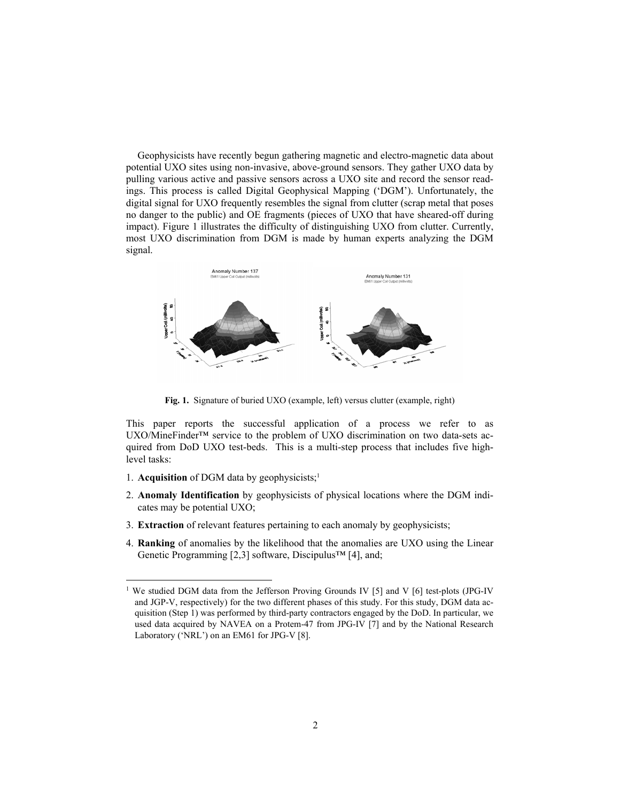Geophysicists have recently begun gathering magnetic and electro-magnetic data about potential UXO sites using non-invasive, above-ground sensors. They gather UXO data by pulling various active and passive sensors across a UXO site and record the sensor readings. This process is called Digital Geophysical Mapping ('DGM'). Unfortunately, the digital signal for UXO frequently resembles the signal from clutter (scrap metal that poses no danger to the public) and OE fragments (pieces of UXO that have sheared-off during impact). Figure 1 illustrates the difficulty of distinguishing UXO from clutter. Currently, most UXO discrimination from DGM is made by human experts analyzing the DGM signal.



**Fig. 1.** Signature of buried UXO (example, left) versus clutter (example, right)

This paper reports the successful application of a process we refer to as UXO/MineFinder™ service to the problem of UXO discrimination on two data-sets acquired from DoD UXO test-beds. This is a multi-step process that includes five highlevel tasks:

1. **Acquisition** of DGM data by geophysicists;<sup>1</sup>

 $\overline{a}$ 

- 2. **Anomaly Identification** by geophysicists of physical locations where the DGM indicates may be potential UXO;
- 3. **Extraction** of relevant features pertaining to each anomaly by geophysicists;
- 4. **Ranking** of anomalies by the likelihood that the anomalies are UXO using the Linear Genetic Programming [2,3] software, Discipulus™ [4], and;

<sup>&</sup>lt;sup>1</sup> We studied DGM data from the Jefferson Proving Grounds IV [5] and V [6] test-plots (JPG-IV and JGP-V, respectively) for the two different phases of this study. For this study, DGM data acquisition (Step 1) was performed by third-party contractors engaged by the DoD. In particular, we used data acquired by NAVEA on a Protem-47 from JPG-IV [7] and by the National Research Laboratory ('NRL') on an EM61 for JPG-V [8].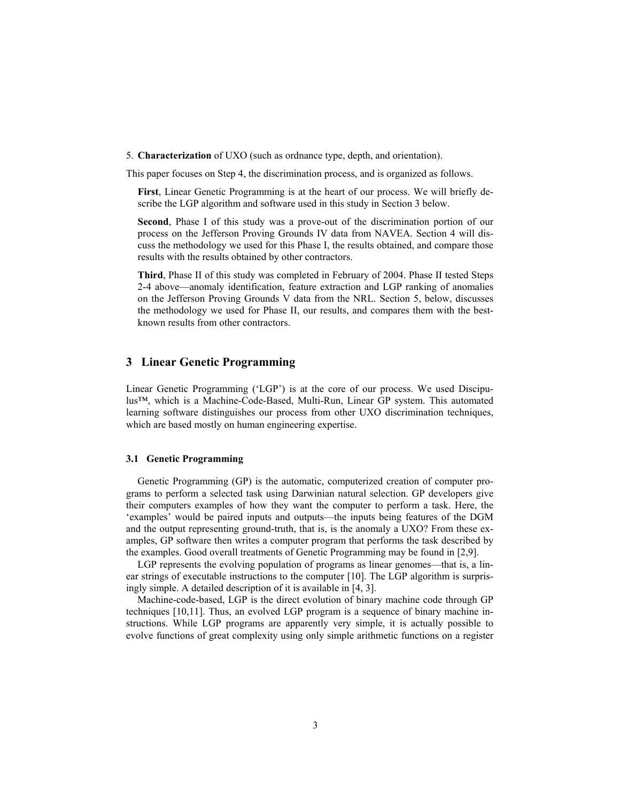5. **Characterization** of UXO (such as ordnance type, depth, and orientation).

This paper focuses on Step 4, the discrimination process, and is organized as follows.

 **First**, Linear Genetic Programming is at the heart of our process. We will briefly describe the LGP algorithm and software used in this study in Section 3 below.

 **Second**, Phase I of this study was a prove-out of the discrimination portion of our process on the Jefferson Proving Grounds IV data from NAVEA. Section 4 will discuss the methodology we used for this Phase I, the results obtained, and compare those results with the results obtained by other contractors.

 **Third**, Phase II of this study was completed in February of 2004. Phase II tested Steps 2-4 above—anomaly identification, feature extraction and LGP ranking of anomalies on the Jefferson Proving Grounds V data from the NRL. Section 5, below, discusses the methodology we used for Phase II, our results, and compares them with the bestknown results from other contractors.

# **3 Linear Genetic Programming**

Linear Genetic Programming ('LGP') is at the core of our process. We used Discipulus™, which is a Machine-Code-Based, Multi-Run, Linear GP system. This automated learning software distinguishes our process from other UXO discrimination techniques, which are based mostly on human engineering expertise.

#### **3.1 Genetic Programming**

Genetic Programming (GP) is the automatic, computerized creation of computer programs to perform a selected task using Darwinian natural selection. GP developers give their computers examples of how they want the computer to perform a task. Here, the 'examples' would be paired inputs and outputs—the inputs being features of the DGM and the output representing ground-truth, that is, is the anomaly a UXO? From these examples, GP software then writes a computer program that performs the task described by the examples. Good overall treatments of Genetic Programming may be found in [2,9].

LGP represents the evolving population of programs as linear genomes—that is, a linear strings of executable instructions to the computer [10]. The LGP algorithm is surprisingly simple. A detailed description of it is available in [4, 3].

Machine-code-based, LGP is the direct evolution of binary machine code through GP techniques [10,11]. Thus, an evolved LGP program is a sequence of binary machine instructions. While LGP programs are apparently very simple, it is actually possible to evolve functions of great complexity using only simple arithmetic functions on a register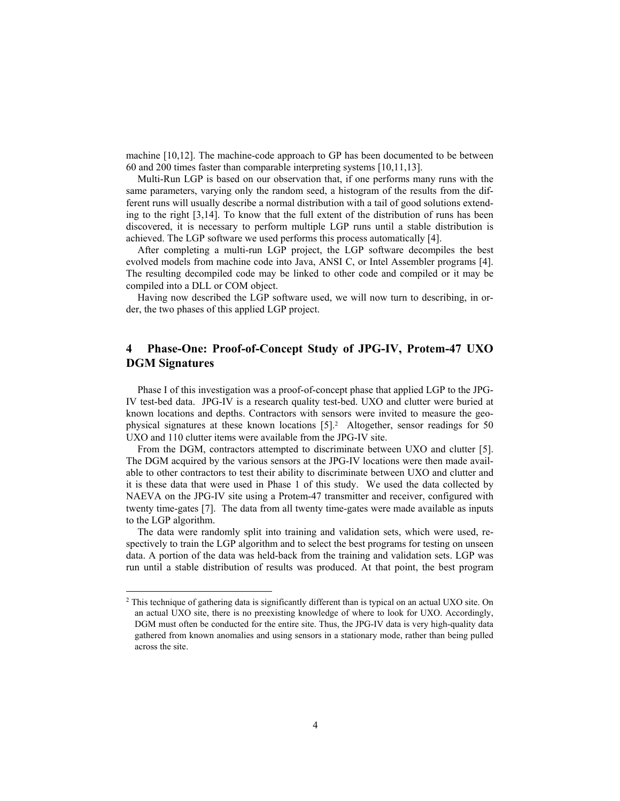machine [10,12]. The machine-code approach to GP has been documented to be between 60 and 200 times faster than comparable interpreting systems [10,11,13].

Multi-Run LGP is based on our observation that, if one performs many runs with the same parameters, varying only the random seed, a histogram of the results from the different runs will usually describe a normal distribution with a tail of good solutions extending to the right [3,14]. To know that the full extent of the distribution of runs has been discovered, it is necessary to perform multiple LGP runs until a stable distribution is achieved. The LGP software we used performs this process automatically [4].

After completing a multi-run LGP project, the LGP software decompiles the best evolved models from machine code into Java, ANSI C, or Intel Assembler programs [4]. The resulting decompiled code may be linked to other code and compiled or it may be compiled into a DLL or COM object.

Having now described the LGP software used, we will now turn to describing, in order, the two phases of this applied LGP project.

# **4 Phase-One: Proof-of-Concept Study of JPG-IV, Protem-47 UXO DGM Signatures**

Phase I of this investigation was a proof-of-concept phase that applied LGP to the JPG-IV test-bed data. JPG-IV is a research quality test-bed. UXO and clutter were buried at known locations and depths. Contractors with sensors were invited to measure the geophysical signatures at these known locations  $[5]$ <sup>2</sup>. Altogether, sensor readings for 50 UXO and 110 clutter items were available from the JPG-IV site.

From the DGM, contractors attempted to discriminate between UXO and clutter [5]. The DGM acquired by the various sensors at the JPG-IV locations were then made available to other contractors to test their ability to discriminate between UXO and clutter and it is these data that were used in Phase 1 of this study. We used the data collected by NAEVA on the JPG-IV site using a Protem-47 transmitter and receiver, configured with twenty time-gates [7]. The data from all twenty time-gates were made available as inputs to the LGP algorithm.

The data were randomly split into training and validation sets, which were used, respectively to train the LGP algorithm and to select the best programs for testing on unseen data. A portion of the data was held-back from the training and validation sets. LGP was run until a stable distribution of results was produced. At that point, the best program

 $\overline{a}$ 

<sup>2</sup> This technique of gathering data is significantly different than is typical on an actual UXO site. On an actual UXO site, there is no preexisting knowledge of where to look for UXO. Accordingly, DGM must often be conducted for the entire site. Thus, the JPG-IV data is very high-quality data gathered from known anomalies and using sensors in a stationary mode, rather than being pulled across the site.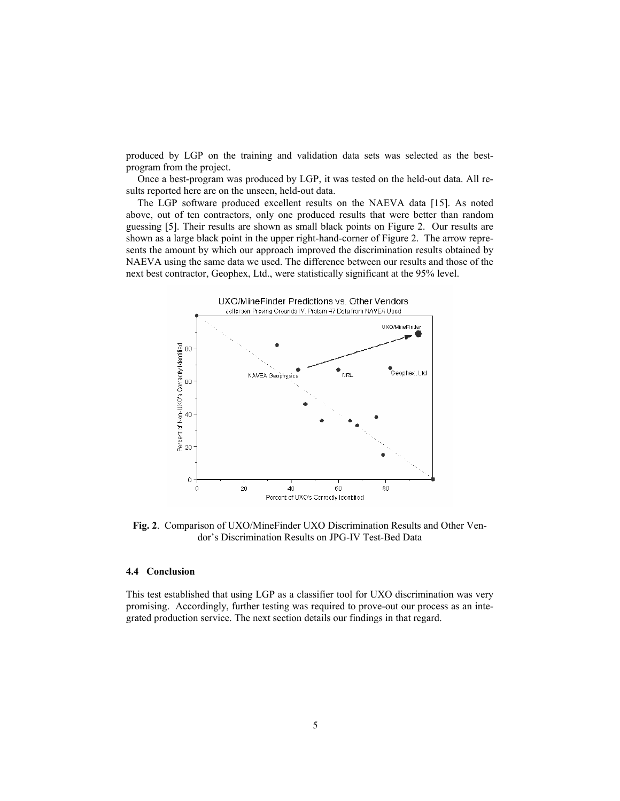produced by LGP on the training and validation data sets was selected as the bestprogram from the project.

Once a best-program was produced by LGP, it was tested on the held-out data. All results reported here are on the unseen, held-out data.

The LGP software produced excellent results on the NAEVA data [15]. As noted above, out of ten contractors, only one produced results that were better than random guessing [5]. Their results are shown as small black points on Figure 2. Our results are shown as a large black point in the upper right-hand-corner of Figure 2. The arrow represents the amount by which our approach improved the discrimination results obtained by NAEVA using the same data we used. The difference between our results and those of the next best contractor, Geophex, Ltd., were statistically significant at the 95% level.



**Fig. 2**. Comparison of UXO/MineFinder UXO Discrimination Results and Other Vendor's Discrimination Results on JPG-IV Test-Bed Data

#### **4.4 Conclusion**

This test established that using LGP as a classifier tool for UXO discrimination was very promising. Accordingly, further testing was required to prove-out our process as an integrated production service. The next section details our findings in that regard.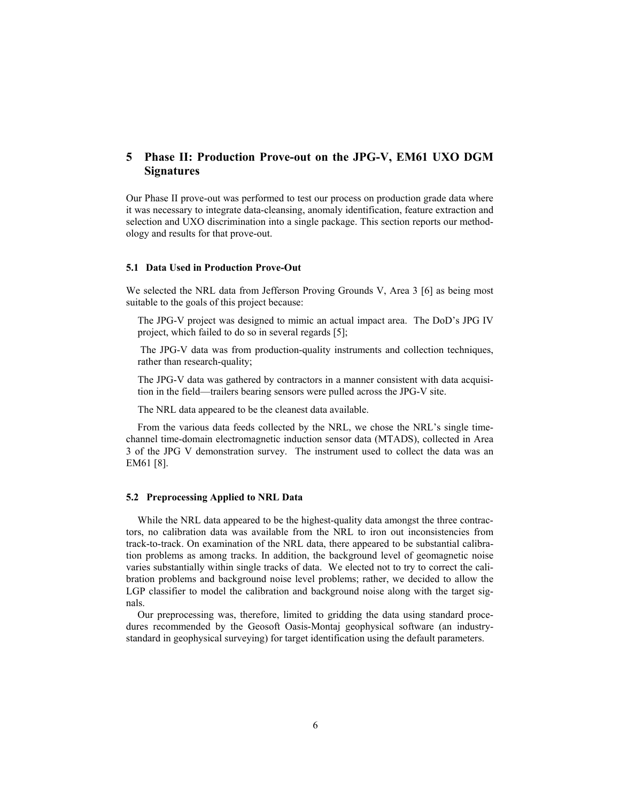# **5 Phase II: Production Prove-out on the JPG-V, EM61 UXO DGM Signatures**

Our Phase II prove-out was performed to test our process on production grade data where it was necessary to integrate data-cleansing, anomaly identification, feature extraction and selection and UXO discrimination into a single package. This section reports our methodology and results for that prove-out.

### **5.1 Data Used in Production Prove-Out**

We selected the NRL data from Jefferson Proving Grounds V, Area 3 [6] as being most suitable to the goals of this project because:

 The JPG-V project was designed to mimic an actual impact area. The DoD's JPG IV project, which failed to do so in several regards [5];

 The JPG-V data was from production-quality instruments and collection techniques, rather than research-quality;

 The JPG-V data was gathered by contractors in a manner consistent with data acquisition in the field—trailers bearing sensors were pulled across the JPG-V site.

The NRL data appeared to be the cleanest data available.

From the various data feeds collected by the NRL, we chose the NRL's single timechannel time-domain electromagnetic induction sensor data (MTADS), collected in Area 3 of the JPG V demonstration survey. The instrument used to collect the data was an EM61 [8].

#### **5.2 Preprocessing Applied to NRL Data**

While the NRL data appeared to be the highest-quality data amongst the three contractors, no calibration data was available from the NRL to iron out inconsistencies from track-to-track. On examination of the NRL data, there appeared to be substantial calibration problems as among tracks. In addition, the background level of geomagnetic noise varies substantially within single tracks of data. We elected not to try to correct the calibration problems and background noise level problems; rather, we decided to allow the LGP classifier to model the calibration and background noise along with the target signals.

Our preprocessing was, therefore, limited to gridding the data using standard procedures recommended by the Geosoft Oasis-Montaj geophysical software (an industrystandard in geophysical surveying) for target identification using the default parameters.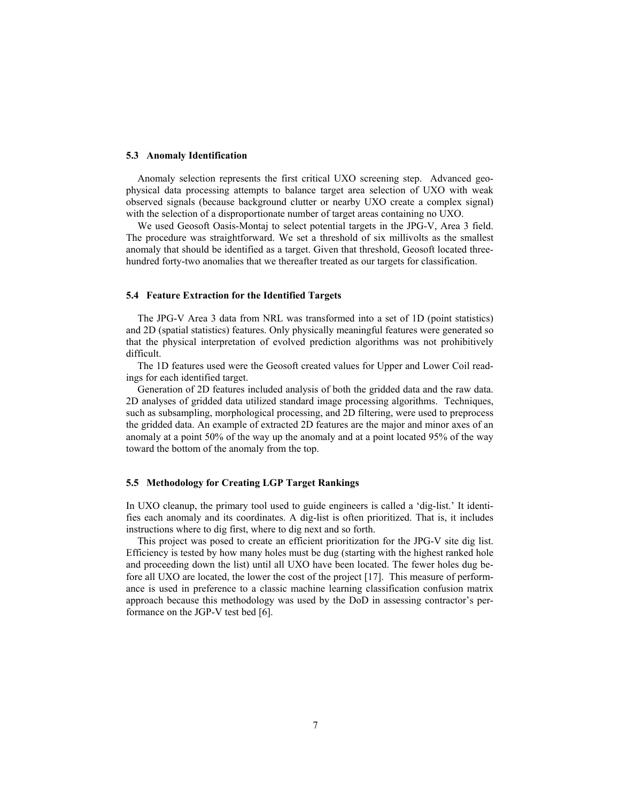#### **5.3 Anomaly Identification**

Anomaly selection represents the first critical UXO screening step. Advanced geophysical data processing attempts to balance target area selection of UXO with weak observed signals (because background clutter or nearby UXO create a complex signal) with the selection of a disproportionate number of target areas containing no UXO.

We used Geosoft Oasis-Montaj to select potential targets in the JPG-V, Area 3 field. The procedure was straightforward. We set a threshold of six millivolts as the smallest anomaly that should be identified as a target. Given that threshold, Geosoft located threehundred forty-two anomalies that we thereafter treated as our targets for classification.

#### **5.4 Feature Extraction for the Identified Targets**

The JPG-V Area 3 data from NRL was transformed into a set of 1D (point statistics) and 2D (spatial statistics) features. Only physically meaningful features were generated so that the physical interpretation of evolved prediction algorithms was not prohibitively difficult.

The 1D features used were the Geosoft created values for Upper and Lower Coil readings for each identified target.

Generation of 2D features included analysis of both the gridded data and the raw data. 2D analyses of gridded data utilized standard image processing algorithms. Techniques, such as subsampling, morphological processing, and 2D filtering, were used to preprocess the gridded data. An example of extracted 2D features are the major and minor axes of an anomaly at a point 50% of the way up the anomaly and at a point located 95% of the way toward the bottom of the anomaly from the top.

#### **5.5 Methodology for Creating LGP Target Rankings**

In UXO cleanup, the primary tool used to guide engineers is called a 'dig-list.' It identifies each anomaly and its coordinates. A dig-list is often prioritized. That is, it includes instructions where to dig first, where to dig next and so forth.

This project was posed to create an efficient prioritization for the JPG-V site dig list. Efficiency is tested by how many holes must be dug (starting with the highest ranked hole and proceeding down the list) until all UXO have been located. The fewer holes dug before all UXO are located, the lower the cost of the project [17]. This measure of performance is used in preference to a classic machine learning classification confusion matrix approach because this methodology was used by the DoD in assessing contractor's performance on the JGP-V test bed [6].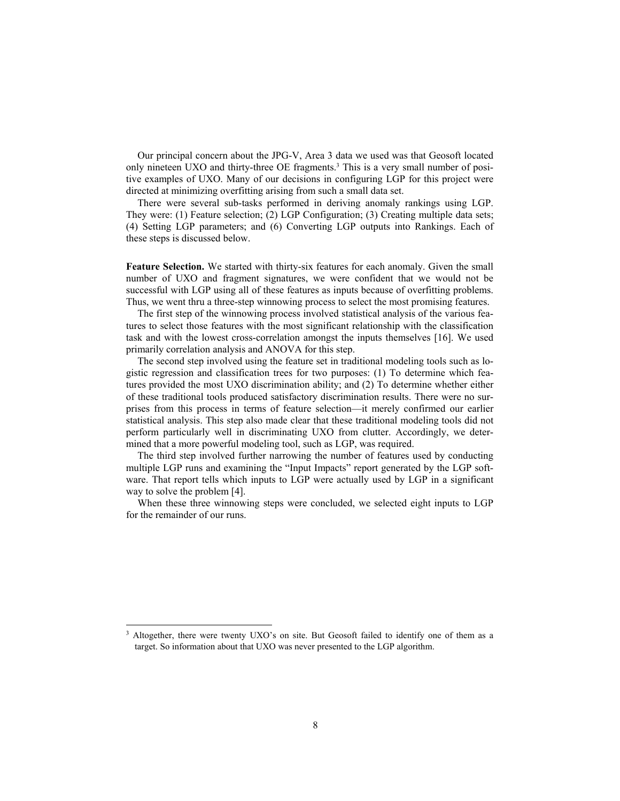Our principal concern about the JPG-V, Area 3 data we used was that Geosoft located only nineteen UXO and thirty-three OE fragments.3 This is a very small number of positive examples of UXO. Many of our decisions in configuring LGP for this project were directed at minimizing overfitting arising from such a small data set.

There were several sub-tasks performed in deriving anomaly rankings using LGP. They were: (1) Feature selection; (2) LGP Configuration; (3) Creating multiple data sets; (4) Setting LGP parameters; and (6) Converting LGP outputs into Rankings. Each of these steps is discussed below.

**Feature Selection.** We started with thirty-six features for each anomaly. Given the small number of UXO and fragment signatures, we were confident that we would not be successful with LGP using all of these features as inputs because of overfitting problems. Thus, we went thru a three-step winnowing process to select the most promising features.

The first step of the winnowing process involved statistical analysis of the various features to select those features with the most significant relationship with the classification task and with the lowest cross-correlation amongst the inputs themselves [16]. We used primarily correlation analysis and ANOVA for this step.

The second step involved using the feature set in traditional modeling tools such as logistic regression and classification trees for two purposes: (1) To determine which features provided the most UXO discrimination ability; and (2) To determine whether either of these traditional tools produced satisfactory discrimination results. There were no surprises from this process in terms of feature selection—it merely confirmed our earlier statistical analysis. This step also made clear that these traditional modeling tools did not perform particularly well in discriminating UXO from clutter. Accordingly, we determined that a more powerful modeling tool, such as LGP, was required.

The third step involved further narrowing the number of features used by conducting multiple LGP runs and examining the "Input Impacts" report generated by the LGP software. That report tells which inputs to LGP were actually used by LGP in a significant way to solve the problem [4].

When these three winnowing steps were concluded, we selected eight inputs to LGP for the remainder of our runs.

l

<sup>&</sup>lt;sup>3</sup> Altogether, there were twenty UXO's on site. But Geosoft failed to identify one of them as a target. So information about that UXO was never presented to the LGP algorithm.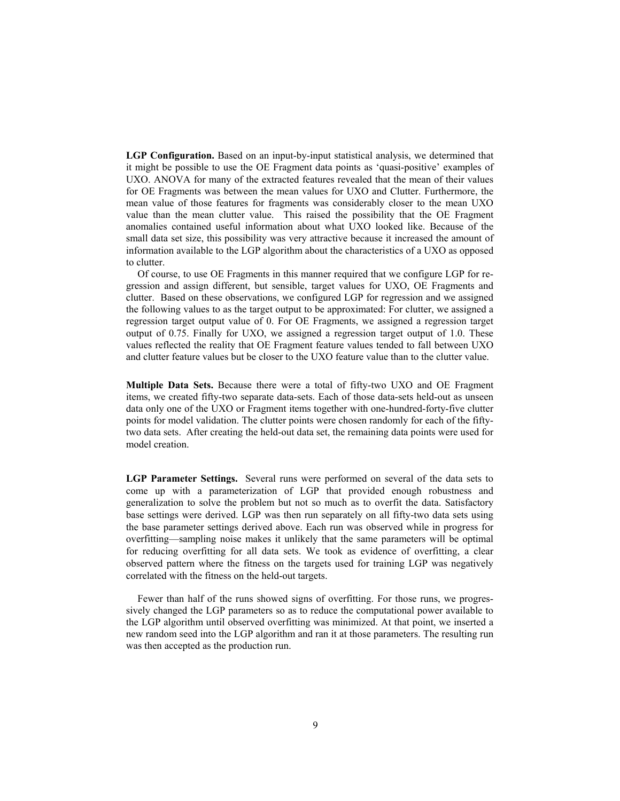LGP Configuration. Based on an input-by-input statistical analysis, we determined that it might be possible to use the OE Fragment data points as 'quasi-positive' examples of UXO. ANOVA for many of the extracted features revealed that the mean of their values for OE Fragments was between the mean values for UXO and Clutter. Furthermore, the mean value of those features for fragments was considerably closer to the mean UXO value than the mean clutter value. This raised the possibility that the OE Fragment anomalies contained useful information about what UXO looked like. Because of the small data set size, this possibility was very attractive because it increased the amount of information available to the LGP algorithm about the characteristics of a UXO as opposed to clutter.

Of course, to use OE Fragments in this manner required that we configure LGP for regression and assign different, but sensible, target values for UXO, OE Fragments and clutter. Based on these observations, we configured LGP for regression and we assigned the following values to as the target output to be approximated: For clutter, we assigned a regression target output value of 0. For OE Fragments, we assigned a regression target output of 0.75. Finally for UXO, we assigned a regression target output of 1.0. These values reflected the reality that OE Fragment feature values tended to fall between UXO and clutter feature values but be closer to the UXO feature value than to the clutter value.

**Multiple Data Sets.** Because there were a total of fifty-two UXO and OE Fragment items, we created fifty-two separate data-sets. Each of those data-sets held-out as unseen data only one of the UXO or Fragment items together with one-hundred-forty-five clutter points for model validation. The clutter points were chosen randomly for each of the fiftytwo data sets. After creating the held-out data set, the remaining data points were used for model creation.

**LGP Parameter Settings.** Several runs were performed on several of the data sets to come up with a parameterization of LGP that provided enough robustness and generalization to solve the problem but not so much as to overfit the data. Satisfactory base settings were derived. LGP was then run separately on all fifty-two data sets using the base parameter settings derived above. Each run was observed while in progress for overfitting—sampling noise makes it unlikely that the same parameters will be optimal for reducing overfitting for all data sets. We took as evidence of overfitting, a clear observed pattern where the fitness on the targets used for training LGP was negatively correlated with the fitness on the held-out targets.

Fewer than half of the runs showed signs of overfitting. For those runs, we progressively changed the LGP parameters so as to reduce the computational power available to the LGP algorithm until observed overfitting was minimized. At that point, we inserted a new random seed into the LGP algorithm and ran it at those parameters. The resulting run was then accepted as the production run.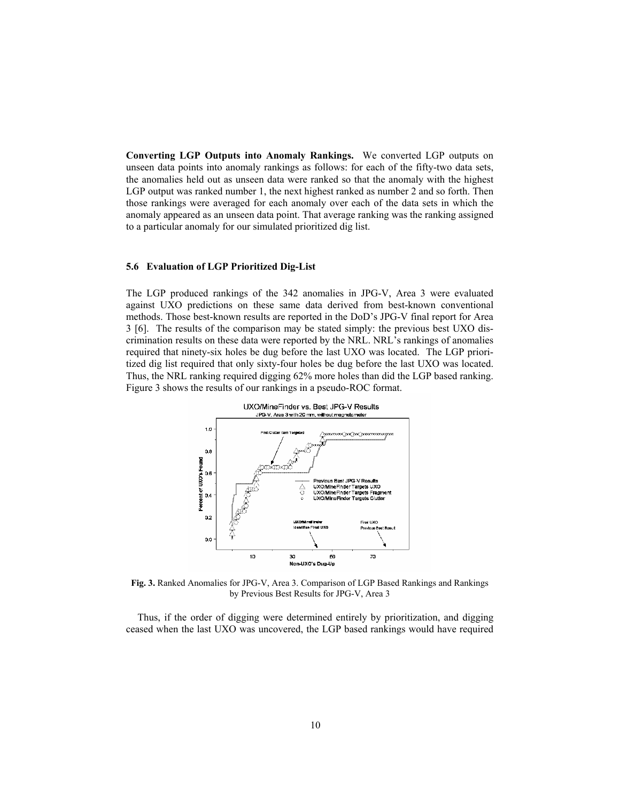**Converting LGP Outputs into Anomaly Rankings.** We converted LGP outputs on unseen data points into anomaly rankings as follows: for each of the fifty-two data sets, the anomalies held out as unseen data were ranked so that the anomaly with the highest LGP output was ranked number 1, the next highest ranked as number 2 and so forth. Then those rankings were averaged for each anomaly over each of the data sets in which the anomaly appeared as an unseen data point. That average ranking was the ranking assigned to a particular anomaly for our simulated prioritized dig list.

#### **5.6 Evaluation of LGP Prioritized Dig-List**

The LGP produced rankings of the 342 anomalies in JPG-V, Area 3 were evaluated against UXO predictions on these same data derived from best-known conventional methods. Those best-known results are reported in the DoD's JPG-V final report for Area 3 [6]. The results of the comparison may be stated simply: the previous best UXO discrimination results on these data were reported by the NRL. NRL's rankings of anomalies required that ninety-six holes be dug before the last UXO was located. The LGP prioritized dig list required that only sixty-four holes be dug before the last UXO was located. Thus, the NRL ranking required digging 62% more holes than did the LGP based ranking. Figure 3 shows the results of our rankings in a pseudo-ROC format.



**Fig. 3.** Ranked Anomalies for JPG-V, Area 3. Comparison of LGP Based Rankings and Rankings by Previous Best Results for JPG-V, Area 3

Thus, if the order of digging were determined entirely by prioritization, and digging ceased when the last UXO was uncovered, the LGP based rankings would have required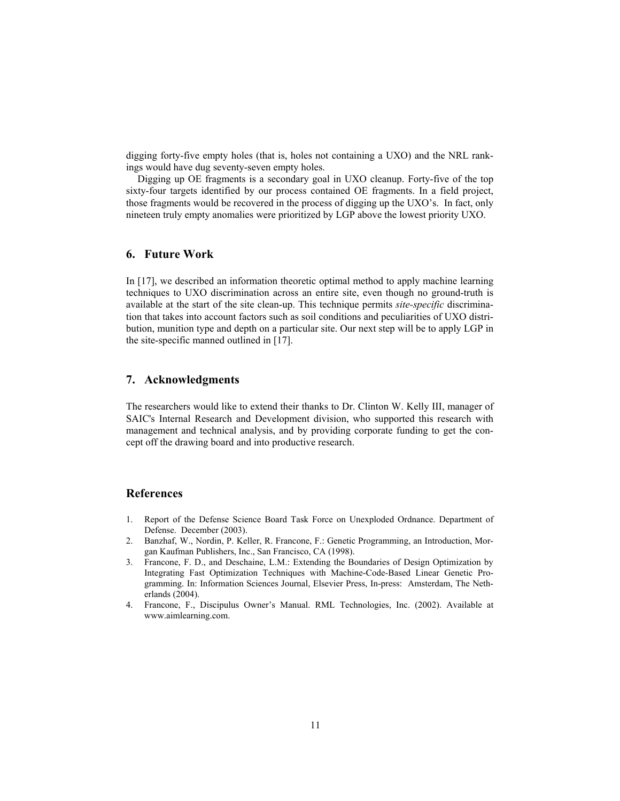digging forty-five empty holes (that is, holes not containing a UXO) and the NRL rankings would have dug seventy-seven empty holes.

Digging up OE fragments is a secondary goal in UXO cleanup. Forty-five of the top sixty-four targets identified by our process contained OE fragments. In a field project, those fragments would be recovered in the process of digging up the UXO's. In fact, only nineteen truly empty anomalies were prioritized by LGP above the lowest priority UXO.

## **6. Future Work**

In [17], we described an information theoretic optimal method to apply machine learning techniques to UXO discrimination across an entire site, even though no ground-truth is available at the start of the site clean-up. This technique permits *site-specific* discrimination that takes into account factors such as soil conditions and peculiarities of UXO distribution, munition type and depth on a particular site. Our next step will be to apply LGP in the site-specific manned outlined in [17].

# **7. Acknowledgments**

The researchers would like to extend their thanks to Dr. Clinton W. Kelly III, manager of SAIC's Internal Research and Development division, who supported this research with management and technical analysis, and by providing corporate funding to get the concept off the drawing board and into productive research.

#### **References**

- 1. Report of the Defense Science Board Task Force on Unexploded Ordnance. Department of Defense. December (2003).
- 2. Banzhaf, W., Nordin, P. Keller, R. Francone, F.: Genetic Programming, an Introduction, Morgan Kaufman Publishers, Inc., San Francisco, CA (1998).
- 3. Francone, F. D., and Deschaine, L.M.: Extending the Boundaries of Design Optimization by Integrating Fast Optimization Techniques with Machine-Code-Based Linear Genetic Programming. In: Information Sciences Journal, Elsevier Press, In-press: Amsterdam, The Netherlands (2004).
- 4. Francone, F., Discipulus Owner's Manual. RML Technologies, Inc. (2002). Available at www.aimlearning.com.